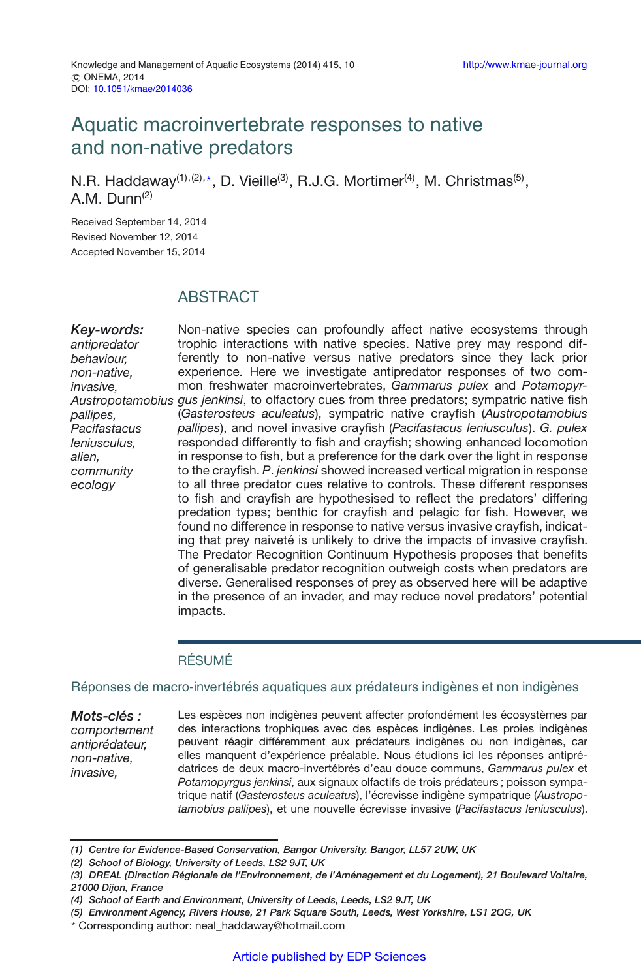# Aquatic macroinvertebrate responses to native and non-native predators

N.R. Haddaway<sup>(1),(2),\*</sup>, D. Vieille<sup>(3)</sup>, R.J.G. Mortimer<sup>(4)</sup>, M. Christmas<sup>(5)</sup>, A.M. Dunn $(2)$ 

Received September 14, 2014 Revised November 12, 2014 Accepted November 15, 2014

# **ABSTRACT**

*Key-words: antipredator behaviour, non-native, invasive, pallipes, Pacifastacus leniusculus, alien, community ecology*

*Austropotamobius gus jenkinsi*, to olfactory cues from three predators; sympatric native fish Non-native species can profoundly affect native ecosystems through trophic interactions with native species. Native prey may respond differently to non-native versus native predators since they lack prior experience. Here we investigate antipredator responses of two common freshwater macroinvertebrates, *Gammarus pulex* and *Potamopyr-*(*Gasterosteus aculeatus*), sympatric native crayfish (*Austropotamobius pallipes*), and novel invasive crayfish (*Pacifastacus leniusculus*). *G. pulex* responded differently to fish and crayfish; showing enhanced locomotion in response to fish, but a preference for the dark over the light in response to the crayfish. *P*. *jenkinsi* showed increased vertical migration in response to all three predator cues relative to controls. These different responses to fish and crayfish are hypothesised to reflect the predators' differing predation types; benthic for crayfish and pelagic for fish. However, we found no difference in response to native versus invasive crayfish, indicating that prey naiveté is unlikely to drive the impacts of invasive crayfish. The Predator Recognition Continuum Hypothesis proposes that benefits of generalisable predator recognition outweigh costs when predators are diverse. Generalised responses of prey as observed here will be adaptive in the presence of an invader, and may reduce novel predators' potential impacts.

## RÉSUMÉ

#### Réponses de macro-invertébrés aquatiques aux prédateurs indigènes et non indigènes

*Mots-clés : comportement antiprédateur, non-native, invasive,* Les espèces non indigènes peuvent affecter profondément les écosystèmes par des interactions trophiques avec des espèces indigènes. Les proies indigènes peuvent réagir différemment aux prédateurs indigènes ou non indigènes, car elles manquent d'expérience préalable. Nous étudions ici les réponses antiprédatrices de deux macro-invertébrés d'eau douce communs, *Gammarus pulex* et *Potamopyrgus jenkinsi*, aux signaux olfactifs de trois prédateurs ; poisson sympatrique natif (*Gasterosteus aculeatus*), l'écrevisse indigène sympatrique (*Austropotamobius pallipes*), et une nouvelle écrevisse invasive (*Pacifastacus leniusculus*).

*<sup>(1)</sup> Centre for Evidence-Based Conservation, Bangor University, Bangor, LL57 2UW, UK*

*<sup>(2)</sup> School of Biology, University of Leeds, LS2 9JT, UK*

*<sup>(3)</sup> DREAL (Direction Régionale de l'Environnement, de l'Aménagement et du Logement), 21 Boulevard Voltaire, 21000 Dijon, France*

*<sup>(4)</sup> School of Earth and Environment, University of Leeds, Leeds, LS2 9JT, UK*

*<sup>(5)</sup> Environment Agency, Rivers House, 21 Park Square South, Leeds, West Yorkshire, LS1 2QG, UK*

<sup>-</sup> Corresponding author: neal\_haddaway@hotmail.com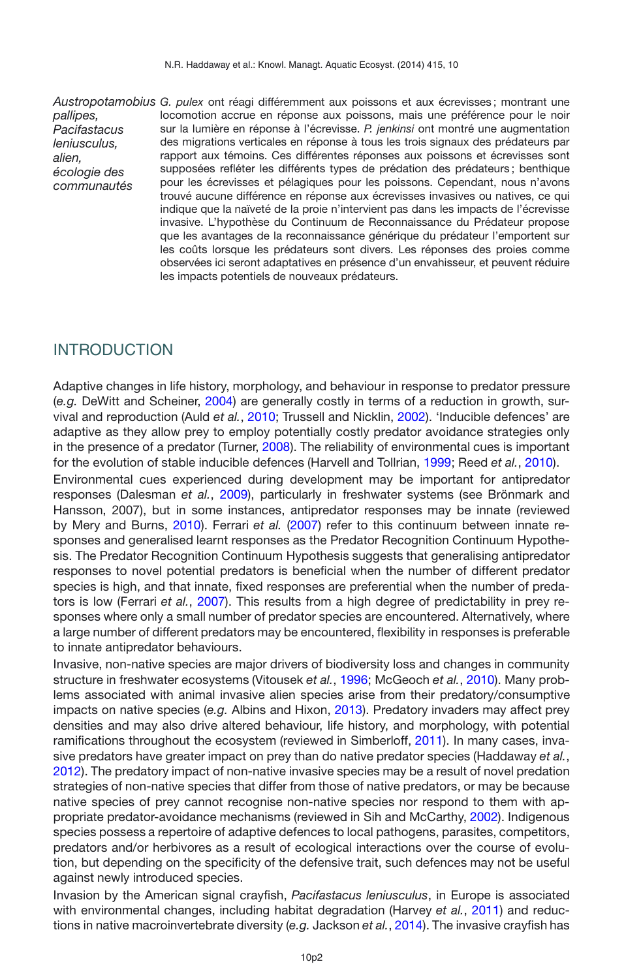*pallipes, Pacifastacus leniusculus, alien, écologie des communautés*

*Austropotamobius G. pulex* ont réagi différemment aux poissons et aux écrevisses ; montrant une locomotion accrue en réponse aux poissons, mais une préférence pour le noir sur la lumière en réponse à l'écrevisse. *P. jenkinsi* ont montré une augmentation des migrations verticales en réponse à tous les trois signaux des prédateurs par rapport aux témoins. Ces différentes réponses aux poissons et écrevisses sont supposées refléter les différents types de prédation des prédateurs ; benthique pour les écrevisses et pélagiques pour les poissons. Cependant, nous n'avons trouvé aucune différence en réponse aux écrevisses invasives ou natives, ce qui indique que la naïveté de la proie n'intervient pas dans les impacts de l'écrevisse invasive. L'hypothèse du Continuum de Reconnaissance du Prédateur propose que les avantages de la reconnaissance générique du prédateur l'emportent sur les coûts lorsque les prédateurs sont divers. Les réponses des proies comme observées ici seront adaptatives en présence d'un envahisseur, et peuvent réduire les impacts potentiels de nouveaux prédateurs.

# INTRODUCTION

Adaptive changes in life history, morphology, and behaviour in response to predator pressure (*e.g.* DeWitt and Scheiner, [2004](#page-10-0)) are generally costly in terms of a reduction in growth, survival and reproduction (Auld *et al.*, [2010](#page-9-0); Trussell and Nicklin, [2002\)](#page-11-0). 'Inducible defences' are adaptive as they allow prey to employ potentially costly predator avoidance strategies only in the presence of a predator (Turner, [2008\)](#page-11-1). The reliability of environmental cues is important for the evolution of stable inducible defences (Harvell and Tollrian, [1999](#page-10-1); Reed *et al.*, [2010](#page-11-2)).

Environmental cues experienced during development may be important for antipredator responses (Dalesman *et al.*, [2009](#page-9-1)), particularly in freshwater systems (see Brönmark and Hansson, 2007), but in some instances, antipredator responses may be innate (reviewed by Mery and Burns, [2010\)](#page-10-2). Ferrari *et al.* [\(2007](#page-10-3)) refer to this continuum between innate responses and generalised learnt responses as the Predator Recognition Continuum Hypothesis. The Predator Recognition Continuum Hypothesis suggests that generalising antipredator responses to novel potential predators is beneficial when the number of different predator species is high, and that innate, fixed responses are preferential when the number of predators is low (Ferrari *et al.*, [2007](#page-10-3)). This results from a high degree of predictability in prey responses where only a small number of predator species are encountered. Alternatively, where a large number of different predators may be encountered, flexibility in responses is preferable to innate antipredator behaviours.

Invasive, non-native species are major drivers of biodiversity loss and changes in community structure in freshwater ecosystems (Vitousek *et al.*, [1996;](#page-11-3) McGeoch *et al.*, [2010\)](#page-10-4). Many problems associated with animal invasive alien species arise from their predatory/consumptive impacts on native species (*e.g.* Albins and Hixon, [2013\)](#page-9-2). Predatory invaders may affect prey densities and may also drive altered behaviour, life history, and morphology, with potential ramifications throughout the ecosystem (reviewed in Simberloff, [2011\)](#page-11-4). In many cases, invasive predators have greater impact on prey than do native predator species (Haddaway *et al.*, [2012\)](#page-10-5). The predatory impact of non-native invasive species may be a result of novel predation strategies of non-native species that differ from those of native predators, or may be because native species of prey cannot recognise non-native species nor respond to them with appropriate predator-avoidance mechanisms (reviewed in Sih and McCarthy, [2002](#page-11-5)). Indigenous species possess a repertoire of adaptive defences to local pathogens, parasites, competitors, predators and/or herbivores as a result of ecological interactions over the course of evolution, but depending on the specificity of the defensive trait, such defences may not be useful against newly introduced species.

Invasion by the American signal crayfish, *Pacifastacus leniusculus*, in Europe is associated with environmental changes, including habitat degradation (Harvey *et al.*, [2011\)](#page-10-6) and reductions in native macroinvertebrate diversity (*e.g.* Jackson *et al.*, [2014](#page-10-7)). The invasive crayfish has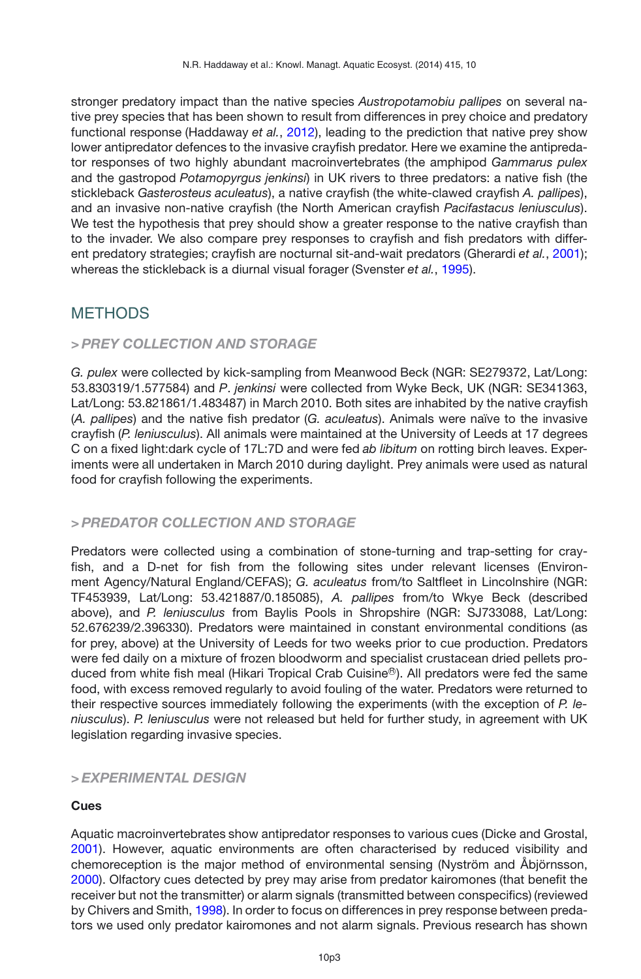stronger predatory impact than the native species *Austropotamobiu pallipes* on several native prey species that has been shown to result from differences in prey choice and predatory functional response (Haddaway *et al.*, [2012\)](#page-10-5), leading to the prediction that native prey show lower antipredator defences to the invasive crayfish predator. Here we examine the antipredator responses of two highly abundant macroinvertebrates (the amphipod *Gammarus pulex* and the gastropod *Potamopyrgus jenkinsi*) in UK rivers to three predators: a native fish (the stickleback *Gasterosteus aculeatus*), a native crayfish (the white-clawed crayfish *A. pallipes*), and an invasive non-native crayfish (the North American crayfish *Pacifastacus leniusculus*). We test the hypothesis that prey should show a greater response to the native crayfish than to the invader. We also compare prey responses to crayfish and fish predators with different predatory strategies; crayfish are nocturnal sit-and-wait predators (Gherardi *et al.*, [2001](#page-10-8)); whereas the stickleback is a diurnal visual forager (Svenster *et al.*, [1995\)](#page-11-6).

# **METHODS**

# *> PREY COLLECTION AND STORAGE*

*G. pulex* were collected by kick-sampling from Meanwood Beck (NGR: SE279372, Lat/Long: 53.830319/1.577584) and *P*. *jenkinsi* were collected from Wyke Beck, UK (NGR: SE341363, Lat/Long: 53.821861/1.483487) in March 2010. Both sites are inhabited by the native crayfish (*A. pallipes*) and the native fish predator (*G. aculeatus*). Animals were naïve to the invasive crayfish (*P. leniusculus*). All animals were maintained at the University of Leeds at 17 degrees C on a fixed light:dark cycle of 17L:7D and were fed *ab libitum* on rotting birch leaves. Experiments were all undertaken in March 2010 during daylight. Prey animals were used as natural food for crayfish following the experiments.

# *> PREDATOR COLLECTION AND STORAGE*

Predators were collected using a combination of stone-turning and trap-setting for crayfish, and a D-net for fish from the following sites under relevant licenses (Environment Agency/Natural England/CEFAS); *G. aculeatus* from/to Saltfleet in Lincolnshire (NGR: TF453939, Lat/Long: 53.421887/0.185085), *A. pallipes* from/to Wkye Beck (described above), and *P. leniusculus* from Baylis Pools in Shropshire (NGR: SJ733088, Lat/Long: 52.676239/2.396330). Predators were maintained in constant environmental conditions (as for prey, above) at the University of Leeds for two weeks prior to cue production. Predators were fed daily on a mixture of frozen bloodworm and specialist crustacean dried pellets produced from white fish meal (Hikari Tropical Crab Cuisine<sup>®</sup>). All predators were fed the same food, with excess removed regularly to avoid fouling of the water. Predators were returned to their respective sources immediately following the experiments (with the exception of *P. leniusculus*). *P. leniusculus* were not released but held for further study, in agreement with UK legislation regarding invasive species.

# *> EXPERIMENTAL DESIGN*

## **Cues**

Aquatic macroinvertebrates show antipredator responses to various cues (Dicke and Grostal, [2001\)](#page-10-9). However, aquatic environments are often characterised by reduced visibility and chemoreception is the major method of environmental sensing (Nyström and Åbjörnsson, [2000\)](#page-10-10). Olfactory cues detected by prey may arise from predator kairomones (that benefit the receiver but not the transmitter) or alarm signals (transmitted between conspecifics) (reviewed by Chivers and Smith, [1998](#page-9-3)). In order to focus on differences in prey response between predators we used only predator kairomones and not alarm signals. Previous research has shown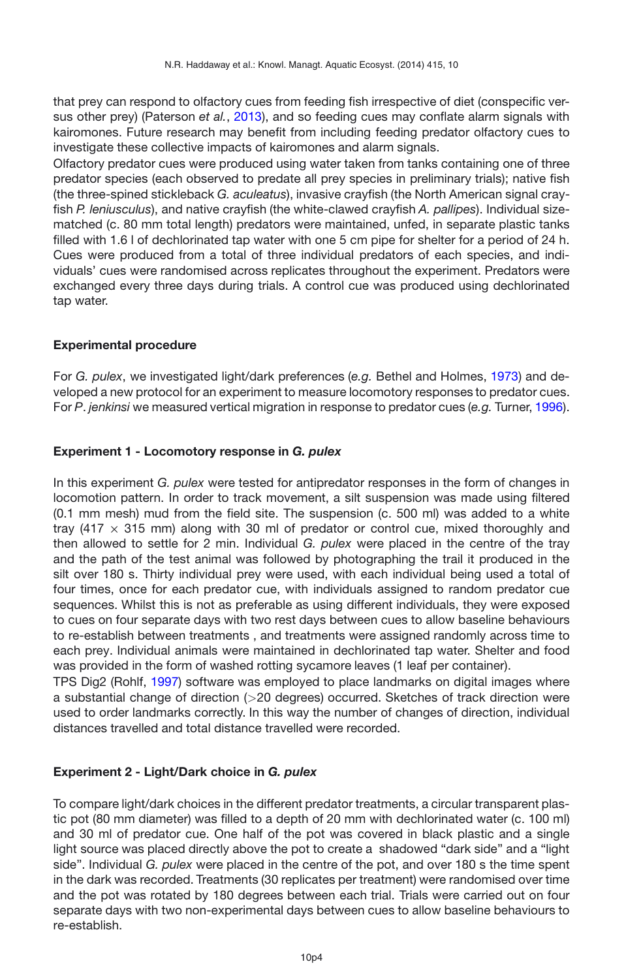that prey can respond to olfactory cues from feeding fish irrespective of diet (conspecific versus other prey) (Paterson *et al.*, [2013](#page-10-11)), and so feeding cues may conflate alarm signals with kairomones. Future research may benefit from including feeding predator olfactory cues to investigate these collective impacts of kairomones and alarm signals.

Olfactory predator cues were produced using water taken from tanks containing one of three predator species (each observed to predate all prey species in preliminary trials); native fish (the three-spined stickleback *G. aculeatus*), invasive crayfish (the North American signal crayfish *P. leniusculus*), and native crayfish (the white-clawed crayfish *A. pallipes*). Individual sizematched (c. 80 mm total length) predators were maintained, unfed, in separate plastic tanks filled with 1.6 l of dechlorinated tap water with one 5 cm pipe for shelter for a period of 24 h. Cues were produced from a total of three individual predators of each species, and individuals' cues were randomised across replicates throughout the experiment. Predators were exchanged every three days during trials. A control cue was produced using dechlorinated tap water.

## **Experimental procedure**

For *G. pulex*, we investigated light/dark preferences (*e.g.* Bethel and Holmes, [1973\)](#page-9-4) and developed a new protocol for an experiment to measure locomotory responses to predator cues. For *P*. *jenkinsi* we measured vertical migration in response to predator cues (*e.g.* Turner, [1996](#page-11-7)).

### **Experiment 1 - Locomotory response in** *G. pulex*

In this experiment *G. pulex* were tested for antipredator responses in the form of changes in locomotion pattern. In order to track movement, a silt suspension was made using filtered (0.1 mm mesh) mud from the field site. The suspension (c. 500 ml) was added to a white tray (417  $\times$  315 mm) along with 30 ml of predator or control cue, mixed thoroughly and then allowed to settle for 2 min. Individual *G. pulex* were placed in the centre of the tray and the path of the test animal was followed by photographing the trail it produced in the silt over 180 s. Thirty individual prey were used, with each individual being used a total of four times, once for each predator cue, with individuals assigned to random predator cue sequences. Whilst this is not as preferable as using different individuals, they were exposed to cues on four separate days with two rest days between cues to allow baseline behaviours to re-establish between treatments , and treatments were assigned randomly across time to each prey. Individual animals were maintained in dechlorinated tap water. Shelter and food was provided in the form of washed rotting sycamore leaves (1 leaf per container).

TPS Dig2 (Rohlf, [1997](#page-11-8)) software was employed to place landmarks on digital images where a substantial change of direction (*>*20 degrees) occurred. Sketches of track direction were used to order landmarks correctly. In this way the number of changes of direction, individual distances travelled and total distance travelled were recorded.

## **Experiment 2 - Light/Dark choice in** *G. pulex*

To compare light/dark choices in the different predator treatments, a circular transparent plastic pot (80 mm diameter) was filled to a depth of 20 mm with dechlorinated water (c. 100 ml) and 30 ml of predator cue. One half of the pot was covered in black plastic and a single light source was placed directly above the pot to create a shadowed "dark side" and a "light side". Individual *G. pulex* were placed in the centre of the pot, and over 180 s the time spent in the dark was recorded. Treatments (30 replicates per treatment) were randomised over time and the pot was rotated by 180 degrees between each trial. Trials were carried out on four separate days with two non-experimental days between cues to allow baseline behaviours to re-establish.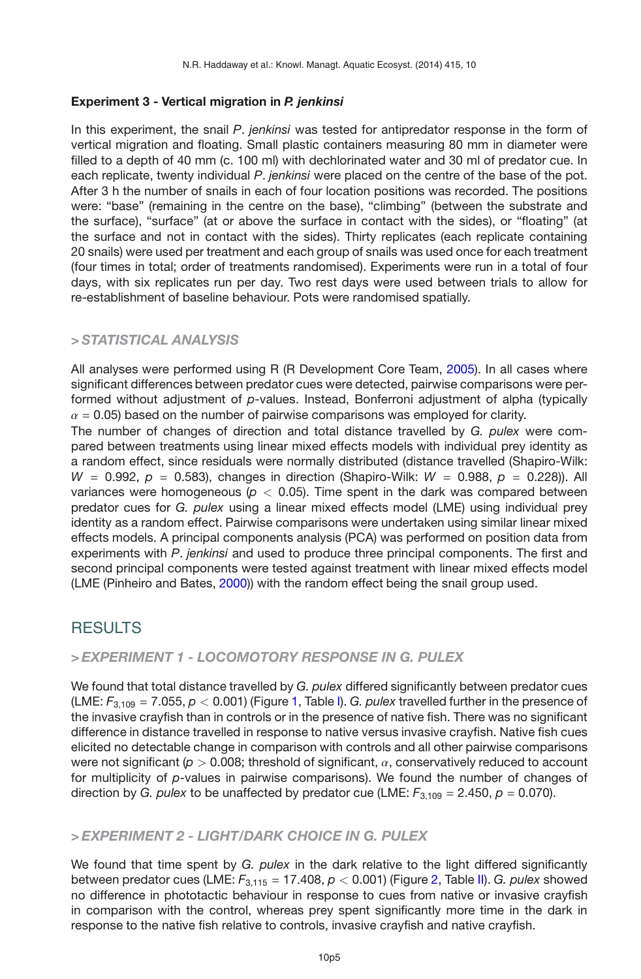#### **Experiment 3 - Vertical migration in** *P. jenkinsi*

In this experiment, the snail *P*. *jenkinsi* was tested for antipredator response in the form of vertical migration and floating. Small plastic containers measuring 80 mm in diameter were filled to a depth of 40 mm (c. 100 ml) with dechlorinated water and 30 ml of predator cue. In each replicate, twenty individual *P*. *jenkinsi* were placed on the centre of the base of the pot. After 3 h the number of snails in each of four location positions was recorded. The positions were: "base" (remaining in the centre on the base), "climbing" (between the substrate and the surface), "surface" (at or above the surface in contact with the sides), or "floating" (at the surface and not in contact with the sides). Thirty replicates (each replicate containing 20 snails) were used per treatment and each group of snails was used once for each treatment (four times in total; order of treatments randomised). Experiments were run in a total of four days, with six replicates run per day. Two rest days were used between trials to allow for re-establishment of baseline behaviour. Pots were randomised spatially.

## *> STATISTICAL ANALYSIS*

All analyses were performed using R (R Development Core Team, [2005\)](#page-10-12). In all cases where significant differences between predator cues were detected, pairwise comparisons were performed without adjustment of *p*-values. Instead, Bonferroni adjustment of alpha (typically  $\alpha$  = 0.05) based on the number of pairwise comparisons was employed for clarity.

The number of changes of direction and total distance travelled by *G. pulex* were compared between treatments using linear mixed effects models with individual prey identity as a random effect, since residuals were normally distributed (distance travelled (Shapiro-Wilk:  $W = 0.992$ ,  $p = 0.583$ ), changes in direction (Shapiro-Wilk:  $W = 0.988$ ,  $p = 0.228$ )). All variances were homogeneous (*p <* 0.05). Time spent in the dark was compared between predator cues for *G. pulex* using a linear mixed effects model (LME) using individual prey identity as a random effect. Pairwise comparisons were undertaken using similar linear mixed effects models. A principal components analysis (PCA) was performed on position data from experiments with *P*. *jenkinsi* and used to produce three principal components. The first and second principal components were tested against treatment with linear mixed effects model (LME (Pinheiro and Bates, [2000\)](#page-10-13)) with the random effect being the snail group used.

# RESULTS

### *> EXPERIMENT 1 - LOCOMOTORY RESPONSE IN G. PULEX*

We found that total distance travelled by *G. pulex* differed significantly between predator cues (LME: *F*3,109 = 7.055, *p <* 0.001) (Figure [1,](#page-5-0) Table [I\)](#page-5-1). *G. pulex* travelled further in the presence of the invasive crayfish than in controls or in the presence of native fish. There was no significant difference in distance travelled in response to native versus invasive crayfish. Native fish cues elicited no detectable change in comparison with controls and all other pairwise comparisons were not significant (*p >* 0.008; threshold of significant, α, conservatively reduced to account for multiplicity of *p*-values in pairwise comparisons). We found the number of changes of direction by *G. pulex* to be unaffected by predator cue (LME:  $F_{3,109} = 2.450$ ,  $p = 0.070$ ).

## *> EXPERIMENT 2 - LIGHT/DARK CHOICE IN G. PULEX*

We found that time spent by *G. pulex* in the dark relative to the light differed significantly between predator cues (LME: *F*3,115 = 17.408, *p <* 0.001) (Figure [2,](#page-6-0) Table [II\)](#page-6-1). *G. pulex* showed no difference in phototactic behaviour in response to cues from native or invasive crayfish in comparison with the control, whereas prey spent significantly more time in the dark in response to the native fish relative to controls, invasive crayfish and native crayfish.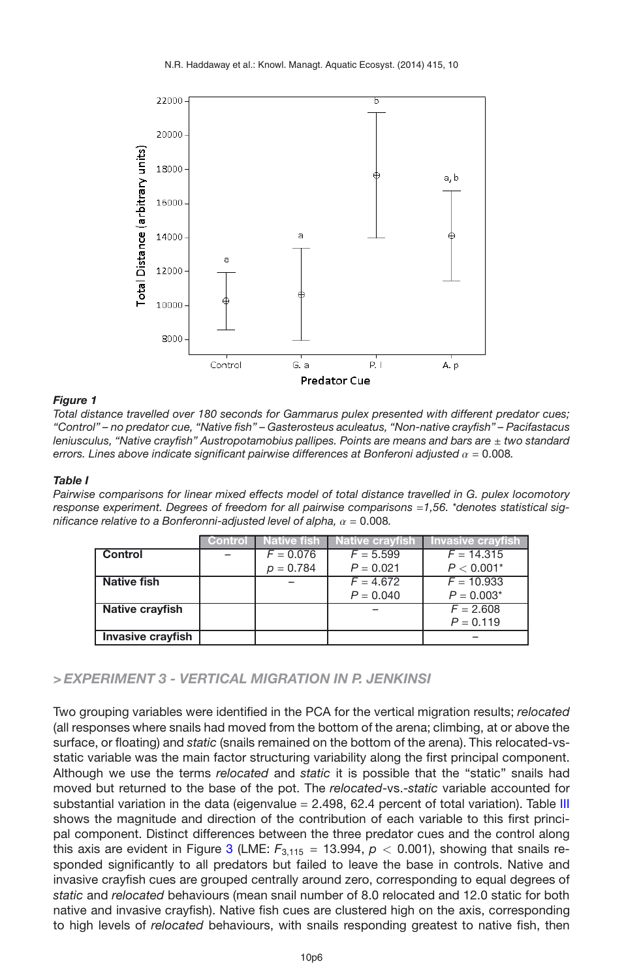<span id="page-5-0"></span>

#### *Figure 1*

*Total distance travelled over 180 seconds for Gammarus pulex presented with different predator cues; "Control" – no predator cue, "Native fish" – Gasterosteus aculeatus, "Non-native crayfish" – Pacifastacus leniusculus, "Native crayfish" Austropotamobius pallipes. Points are means and bars are*  $\pm$  *two standard errors. Lines above indicate significant pairwise differences at Bonferoni adjusted* α = 0.008*.*

#### <span id="page-5-1"></span>*Table I*

*Pairwise comparisons for linear mixed effects model of total distance travelled in G. pulex locomotory response experiment. Degrees of freedom for all pairwise comparisons* =*1,56. \*denotes statistical significance relative to a Bonferonni-adjusted level of alpha,* α = 0.008*.*

|                          | Control | Native fish | Native crayfish | Invasive crayfish |
|--------------------------|---------|-------------|-----------------|-------------------|
| <b>Control</b>           |         | $F = 0.076$ | $F = 5.599$     | $F = 14.315$      |
|                          |         | $p = 0.784$ | $P = 0.021$     | $P < 0.001*$      |
| Native fish              |         |             | $F = 4.672$     | $F = 10.933$      |
|                          |         |             | $P = 0.040$     | $P = 0.003*$      |
| Native crayfish          |         |             |                 | $F = 2.608$       |
|                          |         |             |                 | $P = 0.119$       |
| <b>Invasive crayfish</b> |         |             |                 |                   |

*> EXPERIMENT 3 - VERTICAL MIGRATION IN P. JENKINSI*

Two grouping variables were identified in the PCA for the vertical migration results; *relocated* (all responses where snails had moved from the bottom of the arena; climbing, at or above the surface, or floating) and *static* (snails remained on the bottom of the arena). This relocated-vsstatic variable was the main factor structuring variability along the first principal component. Although we use the terms *relocated* and *static* it is possible that the "static" snails had moved but returned to the base of the pot. The *relocated*-vs.-*static* variable accounted for substantial variation in the data (eigenvalue  $= 2.498$ , 62.4 percent of total variation). Table [III](#page-6-2) shows the magnitude and direction of the contribution of each variable to this first principal component. Distinct differences between the three predator cues and the control along this axis are evident in Figure [3](#page-7-0) (LME:  $F_{3,115} = 13.994$ ,  $p < 0.001$ ), showing that snails responded significantly to all predators but failed to leave the base in controls. Native and invasive crayfish cues are grouped centrally around zero, corresponding to equal degrees of *static* and *relocated* behaviours (mean snail number of 8.0 relocated and 12.0 static for both native and invasive crayfish). Native fish cues are clustered high on the axis, corresponding to high levels of *relocated* behaviours, with snails responding greatest to native fish, then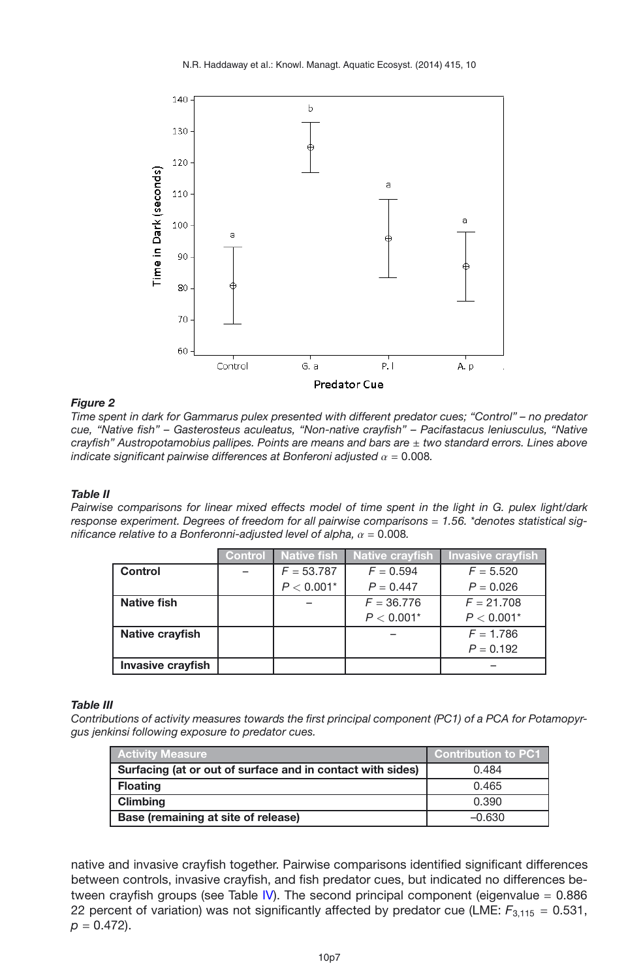<span id="page-6-0"></span>

#### *Figure 2*

*Time spent in dark for Gammarus pulex presented with different predator cues; "Control" – no predator cue, "Native fish" – Gasterosteus aculeatus, "Non-native crayfish" – Pacifastacus leniusculus, "Native crayfish" Austropotamobius pallipes. Points are means and bars are* ± *two standard errors. Lines above indicate significant pairwise differences at Bonferoni adjusted*  $\alpha = 0.008$ *.* 

#### <span id="page-6-1"></span>*Table II*

*Pairwise comparisons for linear mixed effects model of time spent in the light in G. pulex light/dark response experiment. Degrees of freedom for all pairwise comparisons* = *1.56. \*denotes statistical significance relative to a Bonferonni-adjusted level of alpha,* α = 0.008*.*

|                   | Control | <b>Native fish</b> | <b>Native crayfish</b> | <b>Invasive crayfish</b> |
|-------------------|---------|--------------------|------------------------|--------------------------|
| Control           |         | $F = 53.787$       | $F = 0.594$            | $F = 5.520$              |
|                   |         | $P < 0.001*$       | $P = 0.447$            | $P = 0.026$              |
| Native fish       |         |                    | $F = 36.776$           | $F = 21.708$             |
|                   |         |                    | $P < 0.001*$           | $P < 0.001*$             |
| Native crayfish   |         |                    |                        | $F = 1.786$              |
|                   |         |                    |                        | $P = 0.192$              |
| Invasive crayfish |         |                    |                        |                          |

#### <span id="page-6-2"></span>*Table III*

*Contributions of activity measures towards the first principal component (PC1) of a PCA for Potamopyrgus jenkinsi following exposure to predator cues.*

| <b>Activity Measure</b>                                    | <b>Contribution to PC1</b> |
|------------------------------------------------------------|----------------------------|
| Surfacing (at or out of surface and in contact with sides) | 0.484                      |
| <b>Floating</b>                                            | 0.465                      |
| <b>Climbing</b>                                            | 0.390                      |
| Base (remaining at site of release)                        | $-0.630$                   |

native and invasive crayfish together. Pairwise comparisons identified significant differences between controls, invasive crayfish, and fish predator cues, but indicated no differences between crayfish groups (see Table [IV\)](#page-7-1). The second principal component (eigenvalue = 0.886 22 percent of variation) was not significantly affected by predator cue (LME: *F*3,115 = 0.531,  $p = 0.472$ ).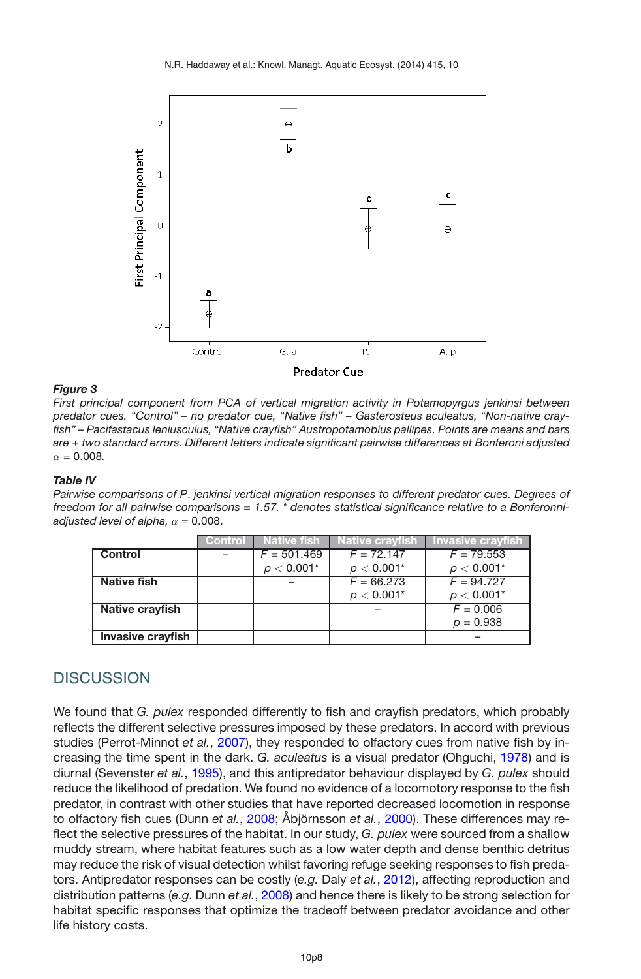<span id="page-7-0"></span>

#### *Figure 3*

*First principal component from PCA of vertical migration activity in Potamopyrgus jenkinsi between predator cues. "Control" – no predator cue, "Native fish" – Gasterosteus aculeatus, "Non-native crayfish" – Pacifastacus leniusculus, "Native crayfish" Austropotamobius pallipes. Points are means and bars are* ± *two standard errors. Different letters indicate significant pairwise differences at Bonferoni adjusted*  $\alpha = 0.008$ .

#### <span id="page-7-1"></span>*Table IV*

*Pairwise comparisons of P*. *jenkinsi vertical migration responses to different predator cues. Degrees of freedom for all pairwise comparisons* = *1.57. \* denotes statistical significance relative to a Bonferonniadjusted level of alpha,*  $\alpha = 0.008$ .

|                   | Control | <b>Native fish</b> | ∣ Native crayf <u>ish ˈ</u> | <b>Invasive crayfish</b> |
|-------------------|---------|--------------------|-----------------------------|--------------------------|
| <b>Control</b>    |         | $F = 501.469$      | $F = 72.147$                | $F = 79.553$             |
|                   |         | $p < 0.001*$       | $p < 0.001*$                | $p < 0.001*$             |
| Native fish       |         |                    | $F = 66.273$                | $F = 94.727$             |
|                   |         |                    | $p < 0.001*$                | $p < 0.001*$             |
| Native crayfish   |         |                    |                             | $F = 0.006$              |
|                   |         |                    |                             | $p = 0.938$              |
| Invasive crayfish |         |                    |                             |                          |

# **DISCUSSION**

We found that *G. pulex* responded differently to fish and crayfish predators, which probably reflects the different selective pressures imposed by these predators. In accord with previous studies (Perrot-Minnot *et al.*, [2007](#page-10-14)), they responded to olfactory cues from native fish by increasing the time spent in the dark. *G. aculeatus* is a visual predator (Ohguchi, [1978](#page-10-15)) and is diurnal (Sevenster *et al.*, [1995](#page-11-6)), and this antipredator behaviour displayed by *G. pulex* should reduce the likelihood of predation. We found no evidence of a locomotory response to the fish predator, in contrast with other studies that have reported decreased locomotion in response to olfactory fish cues (Dunn *et al.*, [2008;](#page-10-16) Åbjörnsson *et al.*, [2000](#page-9-5)). These differences may reflect the selective pressures of the habitat. In our study, *G. pulex* were sourced from a shallow muddy stream, where habitat features such as a low water depth and dense benthic detritus may reduce the risk of visual detection whilst favoring refuge seeking responses to fish predators. Antipredator responses can be costly (*e.g.* Daly *et al.*, [2012\)](#page-10-17), affecting reproduction and distribution patterns (*e.g.* Dunn *et al.*, [2008](#page-10-16)) and hence there is likely to be strong selection for habitat specific responses that optimize the tradeoff between predator avoidance and other life history costs.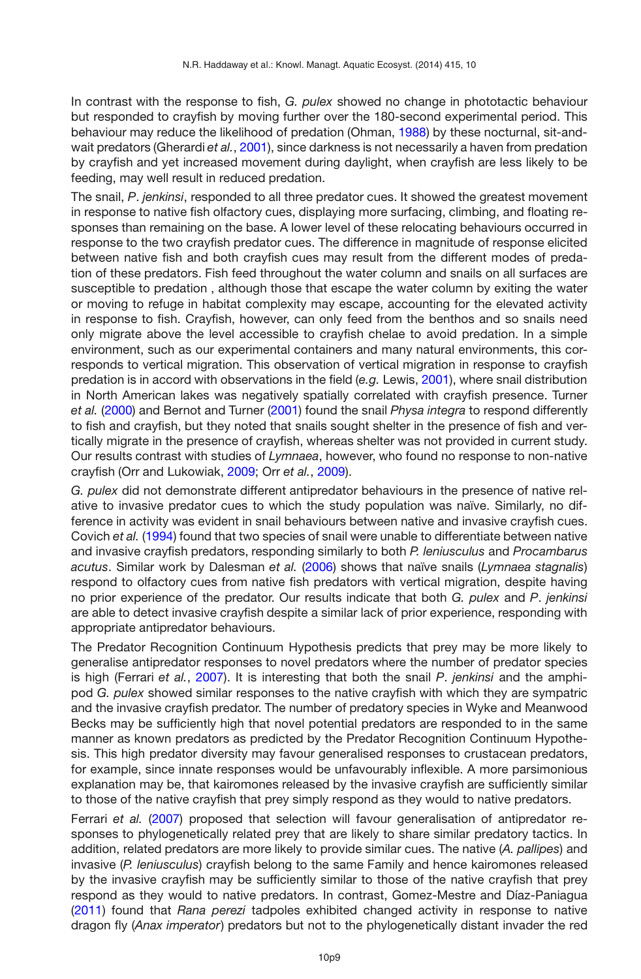In contrast with the response to fish, *G. pulex* showed no change in phototactic behaviour but responded to crayfish by moving further over the 180-second experimental period. This behaviour may reduce the likelihood of predation (Ohman, [1988](#page-10-18)) by these nocturnal, sit-andwait predators (Gherardi *et al.*, [2001\)](#page-10-8), since darkness is not necessarily a haven from predation by crayfish and yet increased movement during daylight, when crayfish are less likely to be feeding, may well result in reduced predation.

The snail, *P*. *jenkinsi*, responded to all three predator cues. It showed the greatest movement in response to native fish olfactory cues, displaying more surfacing, climbing, and floating responses than remaining on the base. A lower level of these relocating behaviours occurred in response to the two crayfish predator cues. The difference in magnitude of response elicited between native fish and both crayfish cues may result from the different modes of predation of these predators. Fish feed throughout the water column and snails on all surfaces are susceptible to predation , although those that escape the water column by exiting the water or moving to refuge in habitat complexity may escape, accounting for the elevated activity in response to fish. Crayfish, however, can only feed from the benthos and so snails need only migrate above the level accessible to crayfish chelae to avoid predation. In a simple environment, such as our experimental containers and many natural environments, this corresponds to vertical migration. This observation of vertical migration in response to crayfish predation is in accord with observations in the field (*e.g.* Lewis, [2001\)](#page-10-19), where snail distribution in North American lakes was negatively spatially correlated with crayfish presence. Turner *et al.* [\(2000](#page-11-9)) and Bernot and Turner [\(2001\)](#page-9-6) found the snail *Physa integra* to respond differently to fish and crayfish, but they noted that snails sought shelter in the presence of fish and vertically migrate in the presence of crayfish, whereas shelter was not provided in current study. Our results contrast with studies of *Lymnaea*, however, who found no response to non-native crayfish (Orr and Lukowiak, [2009](#page-10-20); Orr *et al.*, [2009\)](#page-10-21).

*G. pulex* did not demonstrate different antipredator behaviours in the presence of native relative to invasive predator cues to which the study population was naïve. Similarly, no difference in activity was evident in snail behaviours between native and invasive crayfish cues. Covich *et al.* [\(1994](#page-9-7)) found that two species of snail were unable to differentiate between native and invasive crayfish predators, responding similarly to both *P. leniusculus* and *Procambarus acutus*. Similar work by Dalesman *et al.* [\(2006](#page-9-8)) shows that naïve snails (*Lymnaea stagnalis*) respond to olfactory cues from native fish predators with vertical migration, despite having no prior experience of the predator. Our results indicate that both *G. pulex* and *P*. *jenkinsi* are able to detect invasive crayfish despite a similar lack of prior experience, responding with appropriate antipredator behaviours.

The Predator Recognition Continuum Hypothesis predicts that prey may be more likely to generalise antipredator responses to novel predators where the number of predator species is high (Ferrari *et al.*, [2007](#page-10-3)). It is interesting that both the snail *P*. *jenkinsi* and the amphipod *G. pulex* showed similar responses to the native crayfish with which they are sympatric and the invasive crayfish predator. The number of predatory species in Wyke and Meanwood Becks may be sufficiently high that novel potential predators are responded to in the same manner as known predators as predicted by the Predator Recognition Continuum Hypothesis. This high predator diversity may favour generalised responses to crustacean predators, for example, since innate responses would be unfavourably inflexible. A more parsimonious explanation may be, that kairomones released by the invasive crayfish are sufficiently similar to those of the native crayfish that prey simply respond as they would to native predators.

Ferrari et al. [\(2007](#page-10-3)) proposed that selection will favour generalisation of antipredator responses to phylogenetically related prey that are likely to share similar predatory tactics. In addition, related predators are more likely to provide similar cues. The native (*A. pallipes*) and invasive (*P. leniusculus*) crayfish belong to the same Family and hence kairomones released by the invasive crayfish may be sufficiently similar to those of the native crayfish that prey respond as they would to native predators. In contrast, Gomez-Mestre and Díaz-Paniagua [\(2011](#page-10-22)) found that *Rana perezi* tadpoles exhibited changed activity in response to native dragon fly (*Anax imperator*) predators but not to the phylogenetically distant invader the red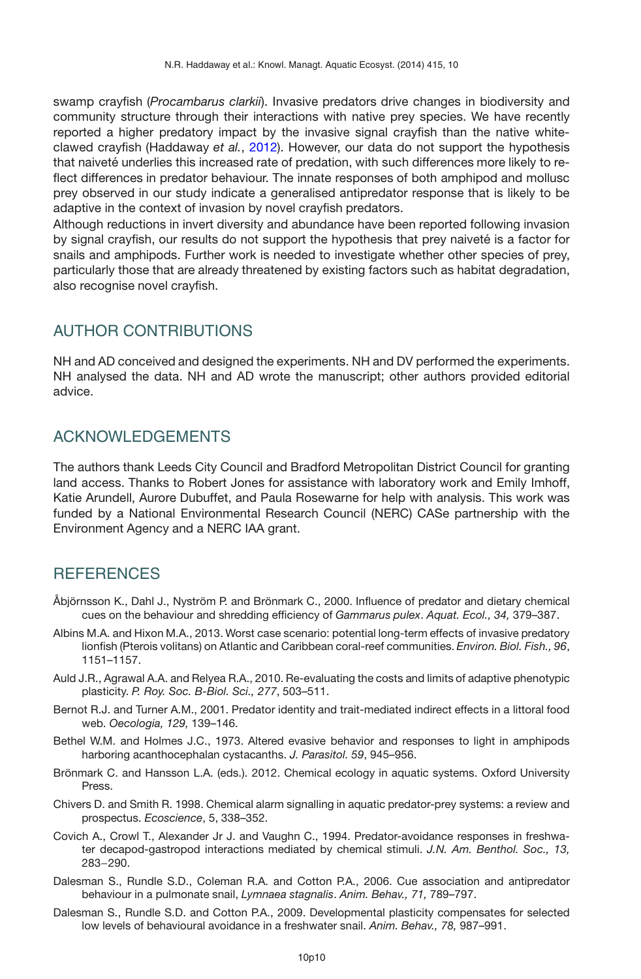swamp crayfish (*Procambarus clarkii*). Invasive predators drive changes in biodiversity and community structure through their interactions with native prey species. We have recently reported a higher predatory impact by the invasive signal crayfish than the native whiteclawed crayfish (Haddaway *et al.*, [2012\)](#page-10-5). However, our data do not support the hypothesis that naiveté underlies this increased rate of predation, with such differences more likely to reflect differences in predator behaviour. The innate responses of both amphipod and mollusc prey observed in our study indicate a generalised antipredator response that is likely to be adaptive in the context of invasion by novel crayfish predators.

Although reductions in invert diversity and abundance have been reported following invasion by signal crayfish, our results do not support the hypothesis that prey naiveté is a factor for snails and amphipods. Further work is needed to investigate whether other species of prey, particularly those that are already threatened by existing factors such as habitat degradation, also recognise novel crayfish.

# AUTHOR CONTRIBUTIONS

NH and AD conceived and designed the experiments. NH and DV performed the experiments. NH analysed the data. NH and AD wrote the manuscript; other authors provided editorial advice.

# ACKNOWLEDGEMENTS

The authors thank Leeds City Council and Bradford Metropolitan District Council for granting land access. Thanks to Robert Jones for assistance with laboratory work and Emily Imhoff, Katie Arundell, Aurore Dubuffet, and Paula Rosewarne for help with analysis. This work was funded by a National Environmental Research Council (NERC) CASe partnership with the Environment Agency and a NERC IAA grant.

# **REFERENCES**

- <span id="page-9-5"></span>Åbjörnsson K., Dahl J., Nyström P. and Brönmark C., 2000. Influence of predator and dietary chemical cues on the behaviour and shredding efficiency of *Gammarus pulex*. *Aquat. Ecol., 34,* 379–387.
- <span id="page-9-2"></span>Albins M.A. and Hixon M.A., 2013. Worst case scenario: potential long-term effects of invasive predatory lionfish (Pterois volitans) on Atlantic and Caribbean coral-reef communities. *Environ. Biol. Fish., 96*, 1151–1157.
- <span id="page-9-0"></span>Auld J.R., Agrawal A.A. and Relyea R.A., 2010. Re-evaluating the costs and limits of adaptive phenotypic plasticity. *P. Roy. Soc. B-Biol. Sci., 277*, 503–511.
- <span id="page-9-6"></span>Bernot R.J. and Turner A.M., 2001. Predator identity and trait-mediated indirect effects in a littoral food web. *Oecologia, 129,* 139–146.
- <span id="page-9-4"></span>Bethel W.M. and Holmes J.C., 1973. Altered evasive behavior and responses to light in amphipods harboring acanthocephalan cystacanths. *J. Parasitol. 59*, 945–956.
- Brönmark C. and Hansson L.A. (eds.). 2012. Chemical ecology in aquatic systems. Oxford University Press.
- <span id="page-9-3"></span>Chivers D. and Smith R. 1998. Chemical alarm signalling in aquatic predator-prey systems: a review and prospectus. *Ecoscience*, 5, 338–352.
- <span id="page-9-7"></span>Covich A., Crowl T., Alexander Jr J. and Vaughn C., 1994. Predator-avoidance responses in freshwater decapod-gastropod interactions mediated by chemical stimuli. *J.N. Am. Benthol. Soc., 13,* 283−290.
- <span id="page-9-8"></span>Dalesman S., Rundle S.D., Coleman R.A. and Cotton P.A., 2006. Cue association and antipredator behaviour in a pulmonate snail, *Lymnaea stagnalis*. *Anim. Behav., 71,* 789–797.
- <span id="page-9-1"></span>Dalesman S., Rundle S.D. and Cotton P.A., 2009. Developmental plasticity compensates for selected low levels of behavioural avoidance in a freshwater snail. *Anim. Behav., 78,* 987–991.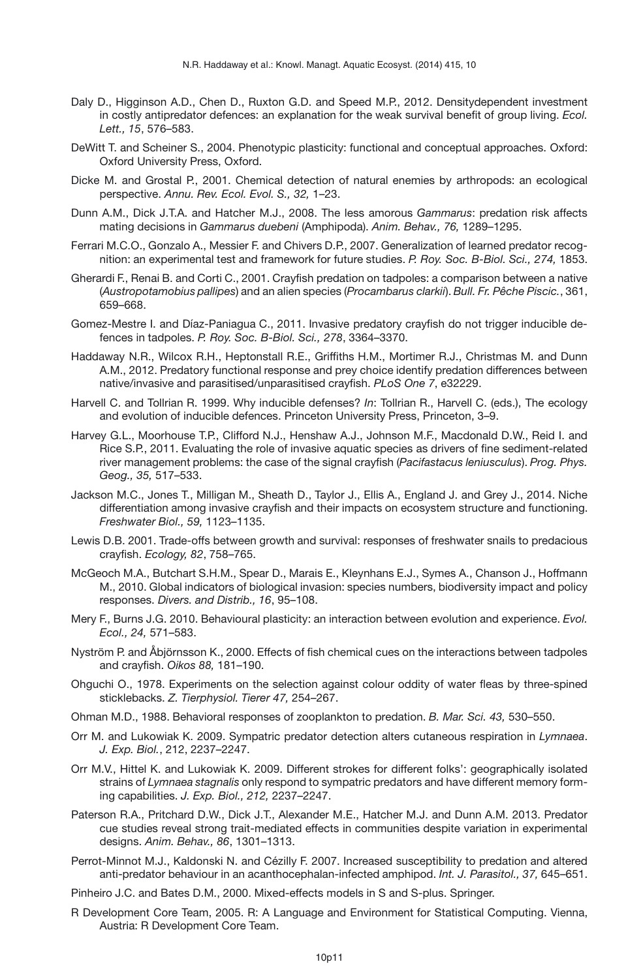- <span id="page-10-17"></span>Daly D., Higginson A.D., Chen D., Ruxton G.D. and Speed M.P., 2012. Densitydependent investment in costly antipredator defences: an explanation for the weak survival benefit of group living. *Ecol. Lett., 15*, 576–583.
- <span id="page-10-0"></span>DeWitt T. and Scheiner S., 2004. Phenotypic plasticity: functional and conceptual approaches. Oxford: Oxford University Press, Oxford.
- <span id="page-10-9"></span>Dicke M. and Grostal P., 2001. Chemical detection of natural enemies by arthropods: an ecological perspective. *Annu. Rev. Ecol. Evol. S., 32,* 1–23.
- <span id="page-10-16"></span>Dunn A.M., Dick J.T.A. and Hatcher M.J., 2008. The less amorous *Gammarus*: predation risk affects mating decisions in *Gammarus duebeni* (Amphipoda). *Anim. Behav., 76,* 1289–1295.
- <span id="page-10-3"></span>Ferrari M.C.O., Gonzalo A., Messier F. and Chivers D.P., 2007. Generalization of learned predator recognition: an experimental test and framework for future studies. *P. Roy. Soc. B-Biol. Sci., 274,* 1853.
- <span id="page-10-8"></span>Gherardi F., Renai B. and Corti C., 2001. Crayfish predation on tadpoles: a comparison between a native (*Austropotamobius pallipes*) and an alien species (*Procambarus clarkii*). *Bull. Fr. Pêche Piscic.*, 361, 659–668.
- <span id="page-10-22"></span>Gomez-Mestre I. and Díaz-Paniagua C., 2011. Invasive predatory crayfish do not trigger inducible defences in tadpoles. *P. Roy. Soc. B-Biol. Sci., 278*, 3364–3370.
- <span id="page-10-5"></span>Haddaway N.R., Wilcox R.H., Heptonstall R.E., Griffiths H.M., Mortimer R.J., Christmas M. and Dunn A.M., 2012. Predatory functional response and prey choice identify predation differences between native/invasive and parasitised/unparasitised crayfish. *PLoS One 7*, e32229.
- <span id="page-10-1"></span>Harvell C. and Tollrian R. 1999. Why inducible defenses? *In*: Tollrian R., Harvell C. (eds.), The ecology and evolution of inducible defences. Princeton University Press, Princeton, 3–9.
- <span id="page-10-6"></span>Harvey G.L., Moorhouse T.P., Clifford N.J., Henshaw A.J., Johnson M.F., Macdonald D.W., Reid I. and Rice S.P., 2011. Evaluating the role of invasive aquatic species as drivers of fine sediment-related river management problems: the case of the signal crayfish (*Pacifastacus leniusculus*). *Prog. Phys. Geog., 35,* 517–533.
- <span id="page-10-7"></span>Jackson M.C., Jones T., Milligan M., Sheath D., Taylor J., Ellis A., England J. and Grey J., 2014. Niche differentiation among invasive crayfish and their impacts on ecosystem structure and functioning. *Freshwater Biol., 59,* 1123–1135.
- <span id="page-10-19"></span>Lewis D.B. 2001. Trade-offs between growth and survival: responses of freshwater snails to predacious crayfish. *Ecology, 82*, 758–765.
- <span id="page-10-4"></span>McGeoch M.A., Butchart S.H.M., Spear D., Marais E., Kleynhans E.J., Symes A., Chanson J., Hoffmann M., 2010. Global indicators of biological invasion: species numbers, biodiversity impact and policy responses. *Divers. and Distrib., 16*, 95–108.
- <span id="page-10-2"></span>Mery F., Burns J.G. 2010. Behavioural plasticity: an interaction between evolution and experience. *Evol. Ecol., 24,* 571–583.
- <span id="page-10-10"></span>Nyström P. and Åbjörnsson K., 2000. Effects of fish chemical cues on the interactions between tadpoles and crayfish. *Oikos 88,* 181–190.
- <span id="page-10-15"></span>Ohguchi O., 1978. Experiments on the selection against colour oddity of water fleas by three-spined sticklebacks. *Z. Tierphysiol. Tierer 47,* 254–267.
- <span id="page-10-18"></span>Ohman M.D., 1988. Behavioral responses of zooplankton to predation. *B. Mar. Sci. 43,* 530–550.
- <span id="page-10-20"></span>Orr M. and Lukowiak K. 2009. Sympatric predator detection alters cutaneous respiration in *Lymnaea*. *J. Exp. Biol.*, 212, 2237–2247.
- <span id="page-10-21"></span>Orr M.V., Hittel K. and Lukowiak K. 2009. Different strokes for different folks': geographically isolated strains of *Lymnaea stagnalis* only respond to sympatric predators and have different memory forming capabilities. *J. Exp. Biol., 212,* 2237–2247.
- <span id="page-10-11"></span>Paterson R.A., Pritchard D.W., Dick J.T., Alexander M.E., Hatcher M.J. and Dunn A.M. 2013. Predator cue studies reveal strong trait-mediated effects in communities despite variation in experimental designs. *Anim. Behav., 86*, 1301–1313.
- <span id="page-10-14"></span>Perrot-Minnot M.J., Kaldonski N. and Cézilly F. 2007. Increased susceptibility to predation and altered anti-predator behaviour in an acanthocephalan-infected amphipod. *Int. J. Parasitol., 37,* 645–651.
- <span id="page-10-13"></span>Pinheiro J.C. and Bates D.M., 2000. Mixed-effects models in S and S-plus. Springer.
- <span id="page-10-12"></span>R Development Core Team, 2005. R: A Language and Environment for Statistical Computing. Vienna, Austria: R Development Core Team.